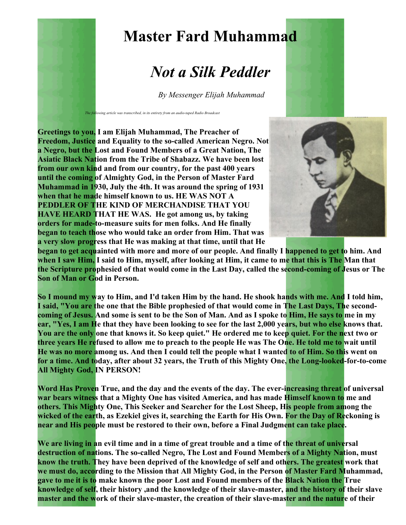

## **Master Fard Muhammad**

## *Not a Silk Peddler*

*By Messenger Elijah Muhammad*

**Greetings to you, I am Elijah Muhammad, The Preacher of Freedom, Justice and Equality to the so-called American Negro. Not a Negro, but the Lost and Found Members of a Great Nation, The Asiatic Black Nation from the Tribe of Shabazz. We have been lost from our own kind and from our country, for the past 400 years until the coming of Almighty God, in the Person of Master Fard Muhammad in 1930, July the 4th. It was around the spring of 1931 when that he made himself known to us. HE WAS NOT A PEDDLER OF THE KIND OF MERCHANDISE THAT YOU HAVE HEARD THAT HE WAS. He got among us, by taking orders for made-to-measure suits for men folks. And He finally began to teach those who would take an order from Him. That was a very slow progress that He was making at that time, until that He**



**began to get acquainted with more and more of our people. And finally I happened to get to him. And when I saw Him, I said to Him, myself, after looking at Him, it came to me that this is The Man that the Scripture prophesied of that would come in the Last Day, called the second-coming of Jesus or The Son of Man or God in Person.**

**So I mound my way to Him, and I'd taken Him by the hand. He shook hands with me. And I told him, I said, "You are the one that the Bible prophesied of that would come in The Last Days, The secondcoming of Jesus. And some is sent to be the Son of Man. And as I spoke to Him, He says to me in my ear, "Yes, I am He that they have been looking to see for the last 2,000 years, but who else knows that. You are the only one that knows it. So keep quiet." He ordered me to keep quiet. For the next two or three years He refused to allow me to preach to the people He was The One. He told me to wait until He was no more among us. And then I could tell the people what I wanted to of Him. So this went on for a time. And today, after about 32 years, the Truth of this Mighty One, the Long-looked-for-to-come All Mighty God, IN PERSON!**

Word Has Proven True, and the day and the events of the day. The ever-increasing threat of universal **war bears witness that a Mighty One has visited America, and has made Himself known to me and others. This Mighty One, This Seeker and Searcher for the Lost Sheep, His people from among the wicked of the earth, as Ezekiel gives it, searching the Earth for His Own. For the Day of Reckoning is near and His people must be restored to their own, before a Final Judgment can take place.**

**We are living in an evil time and in a time of great trouble and a time of the threat of universal destruction of nations. The so-called Negro, The Lost and Found Members of a Mighty Nation, must know the truth. They have been deprived of the knowledge of self and others. The greatest work that we must do, according to the Mission that All Mighty God, in the Person of Master Fard Muhammad, gave to me it is to make known the poor Lost and Found members of the Black Nation the True knowledge of self, their history ,and the knowledge of their slave-master, and the history of their slave master and the work of their slave-master, the creation of their slave-master and the nature of their**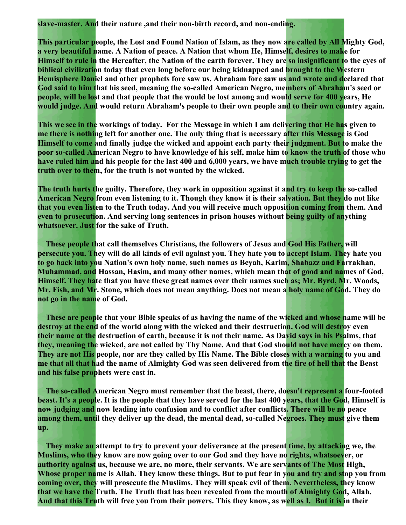**slave-master. And their nature ,and their non-birth record, and non-ending.**

**This particular people, the Lost and Found Nation of Islam, as they now are called by All Mighty God, a very beautiful name. A Nation of peace. A Nation that whom He, Himself, desires to make for Himself to rule in the Hereafter, the Nation of the earth forever. They are so insignificant to the eyes of biblical civilization today that even long before our being kidnapped and brought to the Western Hemisphere Daniel and other prophets fore saw us. Abraham fore saw us and wrote and declared that God said to him that his seed, meaning the so-called American Negro, members of Abraham's seed or people, will be lost and that people that the would be lost among and would serve for 400 years, He would judge. And would return Abraham's people to their own people and to their own country again.**

**This we see in the workings of today. For the Message in which I am delivering that He has given to me there is nothing left for another one. The only thing that is necessary after this Message is God Himself to come and finally judge the wicked and appoint each party their judgment. But to make the poor so-called American Negro to have knowledge of his self, make him to know the truth of those who have ruled him and his people for the last 400 and 6,000 years, we have much trouble trying to get the truth over to them, for the truth is not wanted by the wicked.** 

**The truth hurts the guilty. Therefore, they work in opposition against it and try to keep the so-called American Negro from even listening to it. Though they know it is their salvation. But they do not like that you even listen to the Truth today. And you will receive much opposition coming from them. And even to prosecution. And serving long sentences in prison houses without being guilty of anything whatsoever. Just for the sake of Truth.** 

**These people that call themselves Christians, the followers of Jesus and God His Father, will persecute you. They will do all kinds of evil against you. They hate you to accept Islam. They hate you to go back into you Nation's own holy name, such names as Beyah, Karim, Shabazz and Farrakhan, Muhammad, and Hassan, Hasim, and many other names, which mean that of good and names of God, Himself. They hate that you have these great names over their names such as; Mr. Byrd, Mr. Woods, Mr. Fish, and Mr. Stone, which does not mean anything. Does not mean a holy name of God. They do not go in the name of God.** 

**These are people that your Bible speaks of as having the name of the wicked and whose name will be destroy at the end of the world along with the wicked and their destruction. God will destroy even their name at the destruction of earth, because it is not their name. As David says in his Psalms, that they, meaning the wicked, are not called by Thy Name. And that God should not have mercy on them. They are not His people, nor are they called by His Name. The Bible closes with a warning to you and me that all that had the name of Almighty God was seen delivered from the fire of hell that the Beast and his false prophets were cast in.** 

**The so-called American Negro must remember that the beast, there, doesn't represent a four-footed beast. It's a people. It is the people that they have served for the last 400 years, that the God, Himself is now judging and now leading into confusion and to conflict after conflicts. There will be no peace among them, until they deliver up the dead, the mental dead, so-called Negroes. They must give them up.** 

**They make an attempt to try to prevent your deliverance at the present time, by attacking we, the Muslims, who they know are now going over to our God and they have no rights, whatsoever, or authority against us, because we are, no more, their servants. We are servants of The Most High, Whose proper name is Allah. They know these things. But to put fear in you and try and stop you from coming over, they will prosecute the Muslims. They will speak evil of them. Nevertheless, they know that we have the Truth. The Truth that has been revealed from the mouth of Almighty God, Allah. And that this Truth will free you from their powers. This they know, as well as I. But it is in their**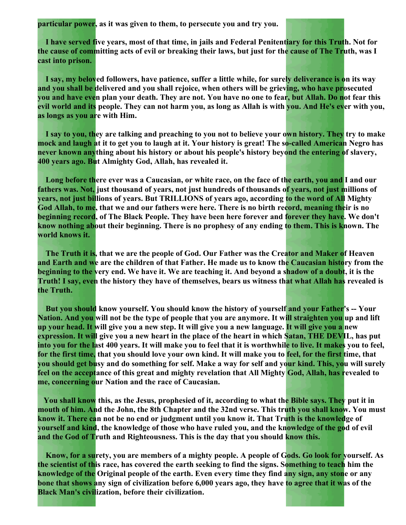**particular power, as it was given to them, to persecute you and try you.** 

**I have served five years, most of that time, in jails and Federal Penitentiary for this Truth. Not for the cause of committing acts of evil or breaking their laws, but just for the cause of The Truth, was I cast into prison.** 

**I say, my beloved followers, have patience, suffer a little while, for surely deliverance is on its way and you shall be delivered and you shall rejoice, when others will be grieving, who have prosecuted you and have even plan your death. They are not. You have no one to fear, but Allah. Do not fear this evil world and its people. They can not harm you, as long as Allah is with you. And He's ever with you, as longs as you are with Him.** 

**I say to you, they are talking and preaching to you not to believe your own history. They try to make** mock and laugh at it to get you to laugh at it. Your history is great! The so-called American Negro has **never known anything about his history or about his people's history beyond the entering of slavery, 400 years ago. But Almighty God, Allah, has revealed it.** 

**Long before there ever was a Caucasian, or white race, on the face of the earth, you and I and our fathers was. Not, just thousand of years, not just hundreds of thousands of years, not just millions of years, not just billions of years. But TRILLIONS of years ago, according to the word of All Mighty God Allah, to me, that we and our fathers were here. There is no birth record, meaning their is no beginning record, of The Black People. They have been here forever and forever they have. We don't know nothing about their beginning. There is no prophesy of any ending to them. This is known. The world knows it.** 

**The Truth it is, that we are the people of God. Our Father was the Creator and Maker of Heaven and Earth and we are the children of that Father. He made us to know the Caucasian history from the beginning to the very end. We have it. We are teaching it. And beyond a shadow of a doubt, it is the Truth! I say, even the history they have of themselves, bears us witness that what Allah has revealed is the Truth.** 

**But you should know yourself. You should know the history of yourself and your Father's -- Your Nation. And you will not be the type of people that you are anymore. It will straighten you up and lift up your head. It will give you a new step. It will give you a new language. It will give you a new expression. It will give you a new heart in the place of the heart in which Satan, THE DEVIL, has put into you for the last 400 years. It will make you to feel that it is worthwhile to live. It makes you to feel, for the first time, that you should love your own kind. It will make you to feel, for the first time, that you should get busy and do something for self. Make a way for self and your kind. This, you will surely feel on the acceptance of this great and mighty revelation that All Mighty God, Allah, has revealed to me, concerning our Nation and the race of Caucasian.**

**You shall know this, as the Jesus, prophesied of it, according to what the Bible says. They put it in mouth of him. And the John, the 8th Chapter and the 32nd verse. This truth you shall know. You must know it. There can not be no end or judgment until you know it. That Truth is the knowledge of yourself and kind, the knowledge of those who have ruled you, and the knowledge of the god of evil and the God of Truth and Righteousness. This is the day that you should know this.** 

**Know, for a surety, you are members of a mighty people. A people of Gods. Go look for yourself. As the scientist of this race, has covered the earth seeking to find the signs. Something to teach him the knowledge of the Original people of the earth. Even every time they find any sign, any stone or any bone that shows any sign of civilization before 6,000 years ago, they have to agree that it was of the Black Man's civilization, before their civilization.**